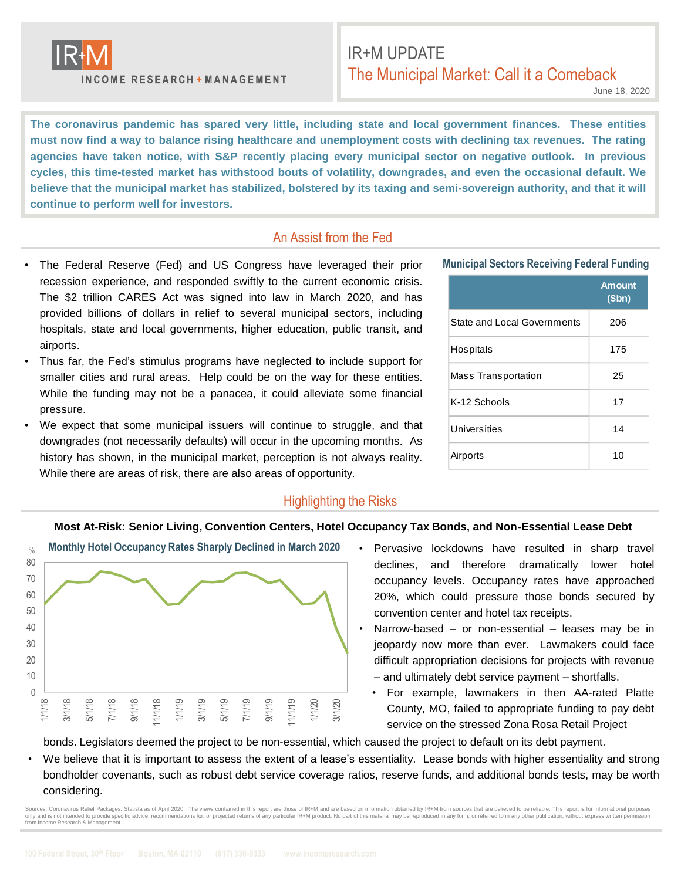

**INCOME RESEARCH + MANAGEMENT** 

# IR+M UPDATE The Municipal Market: Call it a Comeback

June 18, 2020

**The coronavirus pandemic has spared very little, including state and local government finances. These entities** must now find a way to balance rising healthcare and unemployment costs with declining tax revenues. The rating **agencies have taken notice, with S&P recently placing every municipal sector on negative outlook. In previous** cycles, this time-tested market has withstood bouts of volatility, downgrades, and even the occasional default. We believe that the municipal market has stabilized, bolstered by its taxing and semi-sovereign authority, and that it will **continue to perform well for investors.**

### An Assist from the Fed

- The Federal Reserve (Fed) and US Congress have leveraged their prior recession experience, and responded swiftly to the current economic crisis. The \$2 trillion CARES Act was signed into law in March 2020, and has provided billions of dollars in relief to several municipal sectors, including hospitals, state and local governments, higher education, public transit, and airports.
- Thus far, the Fed's stimulus programs have neglected to include support for smaller cities and rural areas. Help could be on the way for these entities. While the funding may not be a panacea, it could alleviate some financial pressure.
- We expect that some municipal issuers will continue to struggle, and that downgrades (not necessarily defaults) will occur in the upcoming months. As history has shown, in the municipal market, perception is not always reality. While there are areas of risk, there are also areas of opportunity.

## **Municipal Sectors Receiving Federal Funding**

|                             | <b>Amount</b><br>\$bn) |
|-----------------------------|------------------------|
| State and Local Governments | 206                    |
| Hospitals                   | 175                    |
| Mass Transportation         | 25                     |
| K-12 Schools                | 17                     |
| Universities                | 14                     |
| Airports                    | 10                     |

#### Highlighting the Risks

#### **Most At-Risk: Senior Living, Convention Centers, Hotel Occupancy Tax Bonds, and Non-Essential Lease Debt**



- Pervasive lockdowns have resulted in sharp travel declines, and therefore dramatically lower hotel occupancy levels. Occupancy rates have approached 20%, which could pressure those bonds secured by convention center and hotel tax receipts.
- Narrow-based  $-$  or non-essential  $-$  leases may be in jeopardy now more than ever. Lawmakers could face difficult appropriation decisions for projects with revenue – and ultimately debt service payment – shortfalls.
	- For example, lawmakers in then AA-rated Platte County, MO, failed to appropriate funding to pay debt service on the stressed Zona Rosa Retail Project

bonds. Legislators deemed the project to be non-essential, which caused the project to default on its debt payment.

• We believe that it is important to assess the extent of a lease's essentiality. Lease bonds with higher essentiality and strong bondholder covenants, such as robust debt service coverage ratios, reserve funds, and additional bonds tests, may be worth considering.

urces: Coronavirus Relief Packages. Statista as of April 2020. The views contained in this report are those of IR+M and are based on information obtained by IR+M from sources that are believed to be reliable. This report i only and is not intended to provide specific advice, recommendations for, or projected returns of any particular IR+M product. No part of this material may be reproduced in any form, or referred to in any other publication from Income Research & Management.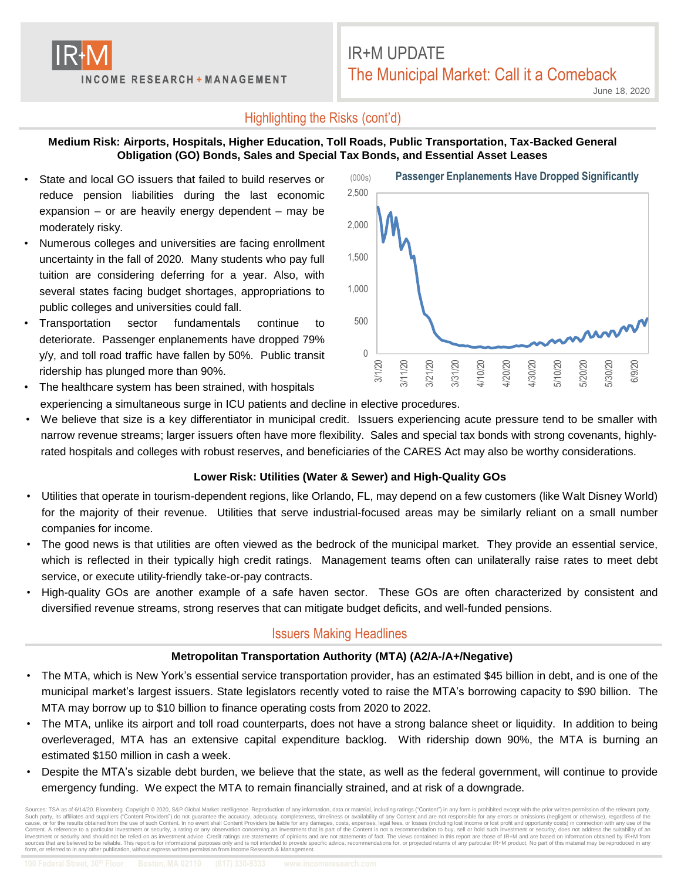

# IR+M UPDATE The Municipal Market: Call it a Comeback

June 18, 2020

## Highlighting the Risks (cont'd)

#### **Medium Risk: Airports, Hospitals, Higher Education, Toll Roads, Public Transportation, Tax-Backed General Obligation (GO) Bonds, Sales and Special Tax Bonds, and Essential Asset Leases**

- State and local GO issuers that failed to build reserves or reduce pension liabilities during the last economic expansion – or are heavily energy dependent – may be moderately risky.
- Numerous colleges and universities are facing enrollment uncertainty in the fall of 2020. Many students who pay full tuition are considering deferring for a year. Also, with several states facing budget shortages, appropriations to public colleges and universities could fall.
- Transportation sector fundamentals continue to deteriorate. Passenger enplanements have dropped 79% y/y, and toll road traffic have fallen by 50%. Public transit ridership has plunged more than 90%.



The healthcare system has been strained, with hospitals

experiencing a simultaneous surge in ICU patients and decline in elective procedures.

• We believe that size is a key differentiator in municipal credit. Issuers experiencing acute pressure tend to be smaller with narrow revenue streams; larger issuers often have more flexibility. Sales and special tax bonds with strong covenants, highlyrated hospitals and colleges with robust reserves, and beneficiaries of the CARES Act may also be worthy considerations.

### **Lower Risk: Utilities (Water & Sewer) and High-Quality GOs**

- Utilities that operate in tourism-dependent regions, like Orlando, FL, may depend on a few customers (like Walt Disney World) for the majority of their revenue. Utilities that serve industrial-focused areas may be similarly reliant on a small number companies for income.
- The good news is that utilities are often viewed as the bedrock of the municipal market. They provide an essential service, which is reflected in their typically high credit ratings. Management teams often can unilaterally raise rates to meet debt service, or execute utility-friendly take-or-pay contracts.
- High-quality GOs are another example of a safe haven sector. These GOs are often characterized by consistent and diversified revenue streams, strong reserves that can mitigate budget deficits, and well-funded pensions.

## Issuers Making Headlines

### **Metropolitan Transportation Authority (MTA) (A2/A-/A+/Negative)**

- The MTA, which is New York's essential service transportation provider, has an estimated \$45 billion in debt, and is one of the municipal market's largest issuers. State legislators recently voted to raise the MTA's borrowing capacity to \$90 billion. The MTA may borrow up to \$10 billion to finance operating costs from 2020 to 2022.
- The MTA, unlike its airport and toll road counterparts, does not have a strong balance sheet or liquidity. In addition to being overleveraged, MTA has an extensive capital expenditure backlog. With ridership down 90%, the MTA is burning an estimated \$150 million in cash a week.
- Despite the MTA's sizable debt burden, we believe that the state, as well as the federal government, will continue to provide emergency funding. We expect the MTA to remain financially strained, and at risk of a downgrade.

Sources: TSA as of 6/14/20. Bloomberg. Copyright © 2020, S&P Global Market Intelligence. Reproducion of any information, data or material, including rating series and are be accurate the accuracy, adequacy, completeness, t sources that are believed to be reliable. This report is for informational purposes only and is not intended to provide specific advice, recommendations for, or projected returns of any particular IR+M product. No part of form, or referred to in any other publication, without express written permission from Income Research & Management.